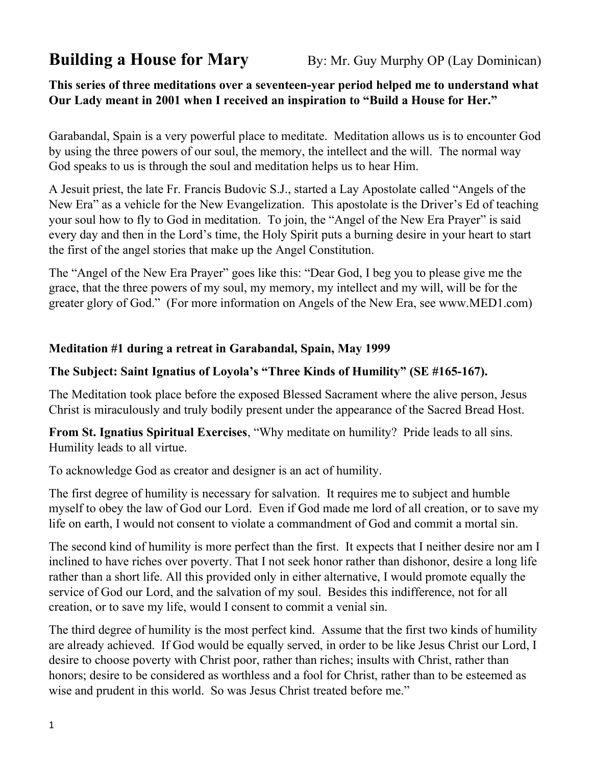**Building a House for Mary** By: Mr. Guy Murphy OP (Lay Dominican)

# **This series of three meditations over a seventeen-year period helped me to understand what Our Lady meant in 2001 when I received an inspiration to "Build a House for Her."**

Garabandal, Spain is a very powerful place to meditate. Meditation allows us is to encounter God by using the three powers of our soul, the memory, the intellect and the will. The normal way God speaks to us is through the soul and meditation helps us to hear Him.

A Jesuit priest, the late Fr. Francis Budovic S.J., started a Lay Apostolate called "Angels of the New Era" as a vehicle for the New Evangelization. This apostolate is the Driver's Ed of teaching your soul how to fly to God in meditation. To join, the "Angel of the New Era Prayer" is said every day and then in the Lord's time, the Holy Spirit puts a burning desire in your heart to start the first of the angel stories that make up the Angel Constitution.

The "Angel of the New Era Prayer" goes like this: "Dear God, I beg you to please give me the grace, that the three powers of my soul, my memory, my intellect and my will, will be for the greater glory of God." (For more information on Angels of the New Era, see www.MED1.com)

### **Meditation #1 during a retreat in Garabandal, Spain, May 1999**

# **The Subject: Saint Ignatius of Loyola's "Three Kinds of Humility" (SE #165-167).**

The Meditation took place before the exposed Blessed Sacrament where the alive person, Jesus Christ is miraculously and truly bodily present under the appearance of the Sacred Bread Host.

**From St. Ignatius Spiritual Exercises**, "Why meditate on humility? Pride leads to all sins. Humility leads to all virtue.

To acknowledge God as creator and designer is an act of humility.

The first degree of humility is necessary for salvation. It requires me to subject and humble myself to obey the law of God our Lord. Even if God made me lord of all creation, or to save my life on earth, I would not consent to violate a commandment of God and commit a mortal sin.

The second kind of humility is more perfect than the first. It expects that I neither desire nor am I inclined to have riches over poverty. That I not seek honor rather than dishonor, desire a long life rather than a short life. All this provided only in either alternative, I would promote equally the service of God our Lord, and the salvation of my soul. Besides this indifference, not for all creation, or to save my life, would I consent to commit a venial sin.

The third degree of humility is the most perfect kind. Assume that the first two kinds of humility are already achieved. If God would be equally served, in order to be like Jesus Christ our Lord, I desire to choose poverty with Christ poor, rather than riches; insults with Christ, rather than honors; desire to be considered as worthless and a fool for Christ, rather than to be esteemed as wise and prudent in this world. So was Jesus Christ treated before me."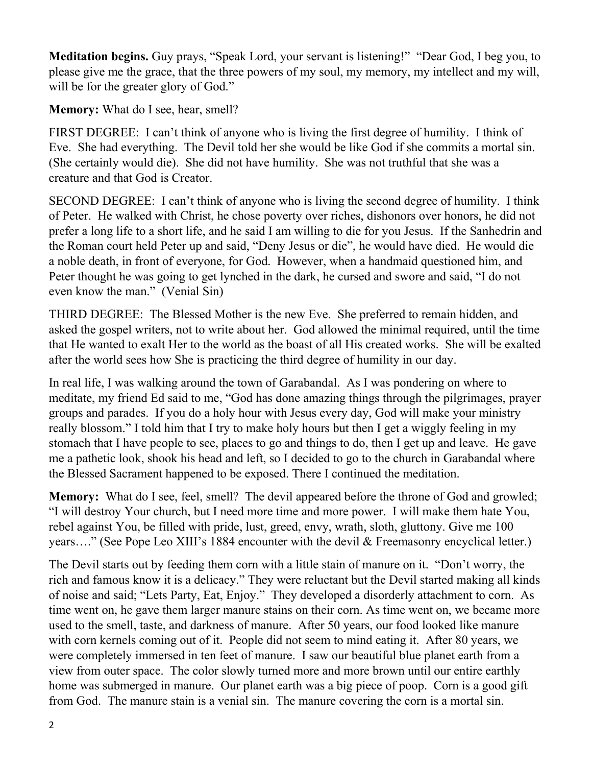**Meditation begins.** Guy prays, "Speak Lord, your servant is listening!" "Dear God, I beg you, to please give me the grace, that the three powers of my soul, my memory, my intellect and my will, will be for the greater glory of God."

**Memory:** What do I see, hear, smell?

FIRST DEGREE: I can't think of anyone who is living the first degree of humility. I think of Eve. She had everything. The Devil told her she would be like God if she commits a mortal sin. (She certainly would die). She did not have humility. She was not truthful that she was a creature and that God is Creator.

SECOND DEGREE: I can't think of anyone who is living the second degree of humility. I think of Peter. He walked with Christ, he chose poverty over riches, dishonors over honors, he did not prefer a long life to a short life, and he said I am willing to die for you Jesus. If the Sanhedrin and the Roman court held Peter up and said, "Deny Jesus or die", he would have died. He would die a noble death, in front of everyone, for God. However, when a handmaid questioned him, and Peter thought he was going to get lynched in the dark, he cursed and swore and said, "I do not even know the man." (Venial Sin)

THIRD DEGREE: The Blessed Mother is the new Eve. She preferred to remain hidden, and asked the gospel writers, not to write about her. God allowed the minimal required, until the time that He wanted to exalt Her to the world as the boast of all His created works. She will be exalted after the world sees how She is practicing the third degree of humility in our day.

In real life, I was walking around the town of Garabandal. As I was pondering on where to meditate, my friend Ed said to me, "God has done amazing things through the pilgrimages, prayer groups and parades. If you do a holy hour with Jesus every day, God will make your ministry really blossom." I told him that I try to make holy hours but then I get a wiggly feeling in my stomach that I have people to see, places to go and things to do, then I get up and leave. He gave me a pathetic look, shook his head and left, so I decided to go to the church in Garabandal where the Blessed Sacrament happened to be exposed. There I continued the meditation.

**Memory:** What do I see, feel, smell? The devil appeared before the throne of God and growled; "I will destroy Your church, but I need more time and more power. I will make them hate You, rebel against You, be filled with pride, lust, greed, envy, wrath, sloth, gluttony. Give me 100 years…." (See Pope Leo XIII's 1884 encounter with the devil & Freemasonry encyclical letter.)

The Devil starts out by feeding them corn with a little stain of manure on it. "Don't worry, the rich and famous know it is a delicacy." They were reluctant but the Devil started making all kinds of noise and said; "Lets Party, Eat, Enjoy." They developed a disorderly attachment to corn. As time went on, he gave them larger manure stains on their corn. As time went on, we became more used to the smell, taste, and darkness of manure. After 50 years, our food looked like manure with corn kernels coming out of it. People did not seem to mind eating it. After 80 years, we were completely immersed in ten feet of manure. I saw our beautiful blue planet earth from a view from outer space. The color slowly turned more and more brown until our entire earthly home was submerged in manure. Our planet earth was a big piece of poop. Corn is a good gift from God. The manure stain is a venial sin. The manure covering the corn is a mortal sin.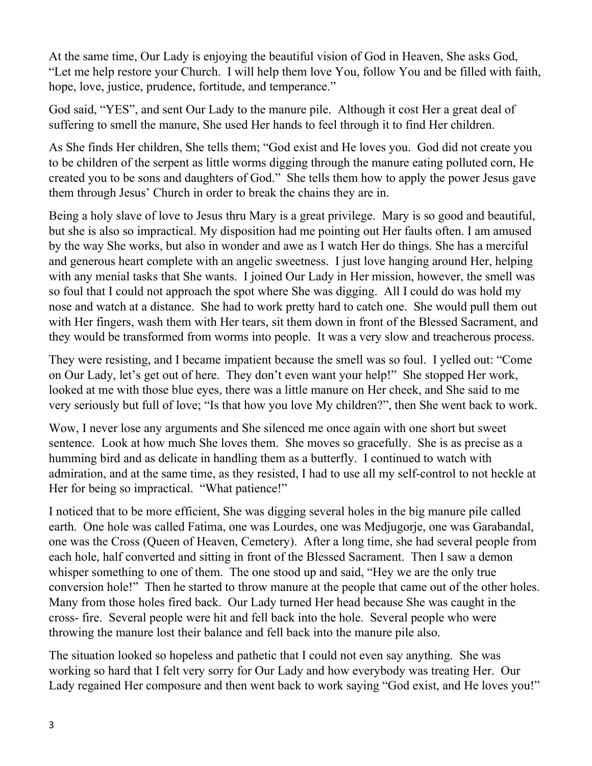At the same time, Our Lady is enjoying the beautiful vision of God in Heaven, She asks God, "Let me help restore your Church. I will help them love You, follow You and be filled with faith, hope, love, justice, prudence, fortitude, and temperance."

God said, "YES", and sent Our Lady to the manure pile. Although it cost Her a great deal of suffering to smell the manure, She used Her hands to feel through it to find Her children.

As She finds Her children, She tells them; "God exist and He loves you. God did not create you to be children of the serpent as little worms digging through the manure eating polluted corn, He created you to be sons and daughters of God." She tells them how to apply the power Jesus gave them through Jesus' Church in order to break the chains they are in.

Being a holy slave of love to Jesus thru Mary is a great privilege. Mary is so good and beautiful, but she is also so impractical. My disposition had me pointing out Her faults often. I am amused by the way She works, but also in wonder and awe as I watch Her do things. She has a merciful and generous heart complete with an angelic sweetness. I just love hanging around Her, helping with any menial tasks that She wants. I joined Our Lady in Her mission, however, the smell was so foul that I could not approach the spot where She was digging. All I could do was hold my nose and watch at a distance. She had to work pretty hard to catch one. She would pull them out with Her fingers, wash them with Her tears, sit them down in front of the Blessed Sacrament, and they would be transformed from worms into people. It was a very slow and treacherous process.

They were resisting, and I became impatient because the smell was so foul. I yelled out: "Come on Our Lady, let's get out of here. They don't even want your help!" She stopped Her work, looked at me with those blue eyes, there was a little manure on Her cheek, and She said to me very seriously but full of love; "Is that how you love My children?", then She went back to work.

Wow, I never lose any arguments and She silenced me once again with one short but sweet sentence. Look at how much She loves them. She moves so gracefully. She is as precise as a humming bird and as delicate in handling them as a butterfly. I continued to watch with admiration, and at the same time, as they resisted, I had to use all my self-control to not heckle at Her for being so impractical. "What patience!"

I noticed that to be more efficient, She was digging several holes in the big manure pile called earth. One hole was called Fatima, one was Lourdes, one was Medjugorje, one was Garabandal, one was the Cross (Queen of Heaven, Cemetery). After a long time, she had several people from each hole, half converted and sitting in front of the Blessed Sacrament. Then I saw a demon whisper something to one of them. The one stood up and said, "Hey we are the only true conversion hole!" Then he started to throw manure at the people that came out of the other holes. Many from those holes fired back. Our Lady turned Her head because She was caught in the cross- fire. Several people were hit and fell back into the hole. Several people who were throwing the manure lost their balance and fell back into the manure pile also.

The situation looked so hopeless and pathetic that I could not even say anything. She was working so hard that I felt very sorry for Our Lady and how everybody was treating Her. Our Lady regained Her composure and then went back to work saying "God exist, and He loves you!"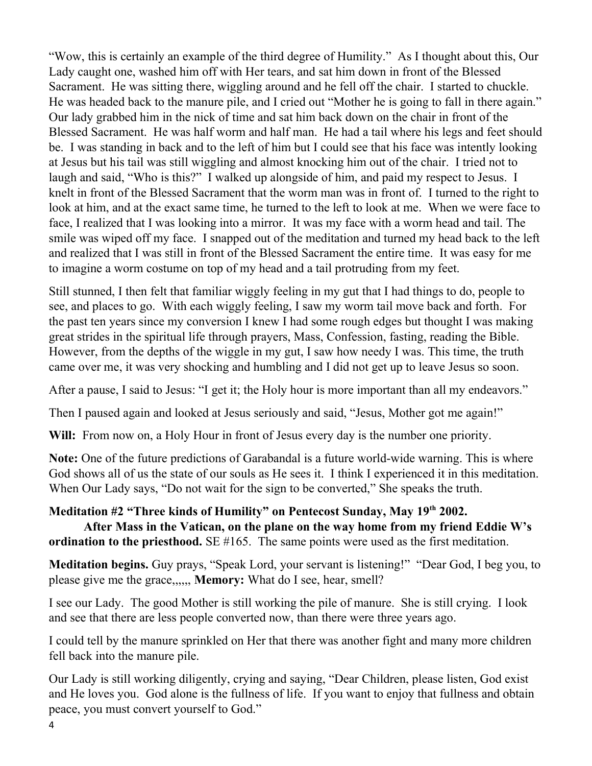"Wow, this is certainly an example of the third degree of Humility." As I thought about this, Our Lady caught one, washed him off with Her tears, and sat him down in front of the Blessed Sacrament. He was sitting there, wiggling around and he fell off the chair. I started to chuckle. He was headed back to the manure pile, and I cried out "Mother he is going to fall in there again." Our lady grabbed him in the nick of time and sat him back down on the chair in front of the Blessed Sacrament. He was half worm and half man. He had a tail where his legs and feet should be. I was standing in back and to the left of him but I could see that his face was intently looking at Jesus but his tail was still wiggling and almost knocking him out of the chair. I tried not to laugh and said, "Who is this?" I walked up alongside of him, and paid my respect to Jesus. I knelt in front of the Blessed Sacrament that the worm man was in front of. I turned to the right to look at him, and at the exact same time, he turned to the left to look at me. When we were face to face, I realized that I was looking into a mirror. It was my face with a worm head and tail. The smile was wiped off my face. I snapped out of the meditation and turned my head back to the left and realized that I was still in front of the Blessed Sacrament the entire time. It was easy for me to imagine a worm costume on top of my head and a tail protruding from my feet.

Still stunned, I then felt that familiar wiggly feeling in my gut that I had things to do, people to see, and places to go. With each wiggly feeling, I saw my worm tail move back and forth. For the past ten years since my conversion I knew I had some rough edges but thought I was making great strides in the spiritual life through prayers, Mass, Confession, fasting, reading the Bible. However, from the depths of the wiggle in my gut, I saw how needy I was. This time, the truth came over me, it was very shocking and humbling and I did not get up to leave Jesus so soon.

After a pause, I said to Jesus: "I get it; the Holy hour is more important than all my endeavors."

Then I paused again and looked at Jesus seriously and said, "Jesus, Mother got me again!"

**Will:** From now on, a Holy Hour in front of Jesus every day is the number one priority.

**Note:** One of the future predictions of Garabandal is a future world-wide warning. This is where God shows all of us the state of our souls as He sees it. I think I experienced it in this meditation. When Our Lady says, "Do not wait for the sign to be converted," She speaks the truth.

### **Meditation #2 "Three kinds of Humility" on Pentecost Sunday, May 19th 2002.**

**After Mass in the Vatican, on the plane on the way home from my friend Eddie W's ordination to the priesthood.** SE #165. The same points were used as the first meditation.

**Meditation begins.** Guy prays, "Speak Lord, your servant is listening!" "Dear God, I beg you, to please give me the grace,,,,,, **Memory:** What do I see, hear, smell?

I see our Lady. The good Mother is still working the pile of manure. She is still crying. I look and see that there are less people converted now, than there were three years ago.

I could tell by the manure sprinkled on Her that there was another fight and many more children fell back into the manure pile.

Our Lady is still working diligently, crying and saying, "Dear Children, please listen, God exist and He loves you. God alone is the fullness of life. If you want to enjoy that fullness and obtain peace, you must convert yourself to God."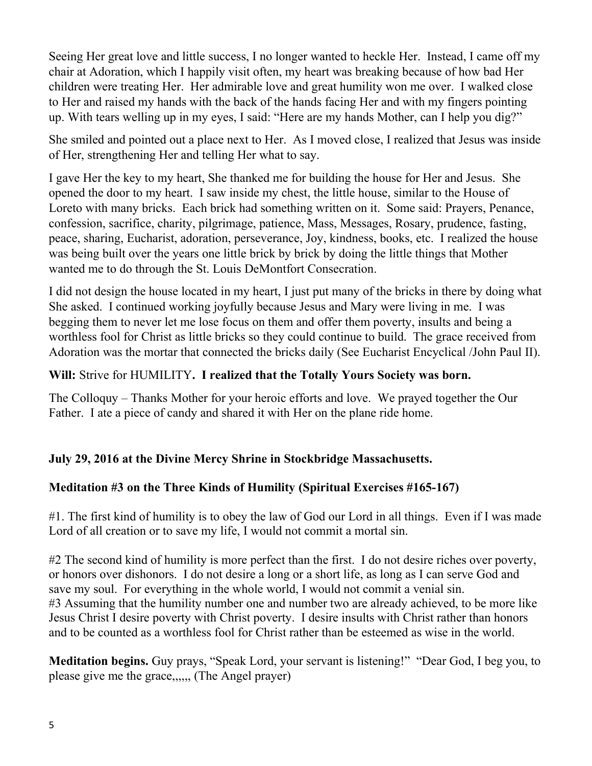Seeing Her great love and little success, I no longer wanted to heckle Her. Instead, I came off my chair at Adoration, which I happily visit often, my heart was breaking because of how bad Her children were treating Her. Her admirable love and great humility won me over. I walked close to Her and raised my hands with the back of the hands facing Her and with my fingers pointing up. With tears welling up in my eyes, I said: "Here are my hands Mother, can I help you dig?"

She smiled and pointed out a place next to Her. As I moved close, I realized that Jesus was inside of Her, strengthening Her and telling Her what to say.

I gave Her the key to my heart, She thanked me for building the house for Her and Jesus. She opened the door to my heart. I saw inside my chest, the little house, similar to the House of Loreto with many bricks. Each brick had something written on it. Some said: Prayers, Penance, confession, sacrifice, charity, pilgrimage, patience, Mass, Messages, Rosary, prudence, fasting, peace, sharing, Eucharist, adoration, perseverance, Joy, kindness, books, etc. I realized the house was being built over the years one little brick by brick by doing the little things that Mother wanted me to do through the St. Louis DeMontfort Consecration.

I did not design the house located in my heart, I just put many of the bricks in there by doing what She asked. I continued working joyfully because Jesus and Mary were living in me. I was begging them to never let me lose focus on them and offer them poverty, insults and being a worthless fool for Christ as little bricks so they could continue to build. The grace received from Adoration was the mortar that connected the bricks daily (See Eucharist Encyclical /John Paul II).

### **Will:** Strive for HUMILITY**. I realized that the Totally Yours Society was born.**

The Colloquy – Thanks Mother for your heroic efforts and love. We prayed together the Our Father. I ate a piece of candy and shared it with Her on the plane ride home.

### **July 29, 2016 at the Divine Mercy Shrine in Stockbridge Massachusetts.**

### **Meditation #3 on the Three Kinds of Humility (Spiritual Exercises #165-167)**

#1. The first kind of humility is to obey the law of God our Lord in all things. Even if I was made Lord of all creation or to save my life, I would not commit a mortal sin.

#2 The second kind of humility is more perfect than the first. I do not desire riches over poverty, or honors over dishonors. I do not desire a long or a short life, as long as I can serve God and save my soul. For everything in the whole world, I would not commit a venial sin. #3 Assuming that the humility number one and number two are already achieved, to be more like Jesus Christ I desire poverty with Christ poverty. I desire insults with Christ rather than honors and to be counted as a worthless fool for Christ rather than be esteemed as wise in the world.

**Meditation begins.** Guy prays, "Speak Lord, your servant is listening!" "Dear God, I beg you, to please give me the grace,,,,,, (The Angel prayer)